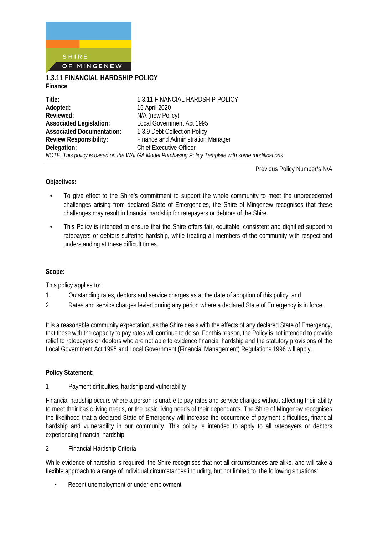

**1.3.11 FINANCIAL HARDSHIP POLICY Finance**

| Title:                           | 1.3.11 FINANCIAL HARDSHIP POLICY                                                                 |
|----------------------------------|--------------------------------------------------------------------------------------------------|
| Adopted:                         | 15 April 2020                                                                                    |
| Reviewed:                        | N/A (new Policy)                                                                                 |
| <b>Associated Legislation:</b>   | Local Government Act 1995                                                                        |
| <b>Associated Documentation:</b> | 1.3.9 Debt Collection Policy                                                                     |
| <b>Review Responsibility:</b>    | Finance and Administration Manager                                                               |
| Delegation:                      | <b>Chief Executive Officer</b>                                                                   |
|                                  | NOTE: This policy is based on the WALGA Model Purchasing Policy Template with some modifications |

Previous Policy Number/s N/A

#### **Objectives:**

- To give effect to the Shire's commitment to support the whole community to meet the unprecedented challenges arising from declared State of Emergencies, the Shire of Mingenew recognises that these challenges may result in financial hardship for ratepayers or debtors of the Shire.
- This Policy is intended to ensure that the Shire offers fair, equitable, consistent and dignified support to ratepayers or debtors suffering hardship, while treating all members of the community with respect and understanding at these difficult times.

## **Scope:**

This policy applies to:

- 1. Outstanding rates, debtors and service charges as at the date of adoption of this policy; and
- 2. Rates and service charges levied during any period where a declared State of Emergency is in force.

It is a reasonable community expectation, as the Shire deals with the effects of any declared State of Emergency, that those with the capacity to pay rates will continue to do so. For this reason, the Policy is not intended to provide relief to ratepayers or debtors who are not able to evidence financial hardship and the statutory provisions of the Local Government Act 1995 and Local Government (Financial Management) Regulations 1996 will apply.

#### **Policy Statement:**

#### 1 Payment difficulties, hardship and vulnerability

Financial hardship occurs where a person is unable to pay rates and service charges without affecting their ability to meet their basic living needs, or the basic living needs of their dependants. The Shire of Mingenew recognises the likelihood that a declared State of Emergency will increase the occurrence of payment difficulties, financial hardship and vulnerability in our community. This policy is intended to apply to all ratepayers or debtors experiencing financial hardship.

## 2 Financial Hardship Criteria

While evidence of hardship is required, the Shire recognises that not all circumstances are alike, and will take a flexible approach to a range of individual circumstances including, but not limited to, the following situations:

• Recent unemployment or under-employment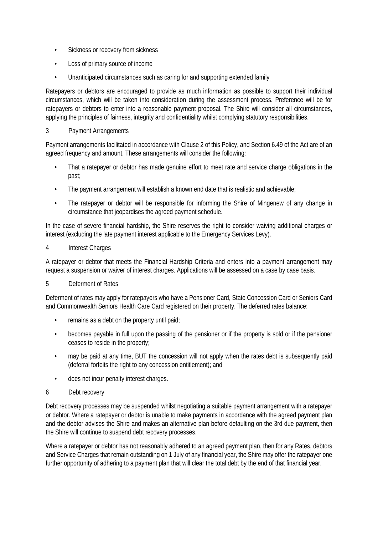- Sickness or recovery from sickness
- Loss of primary source of income
- Unanticipated circumstances such as caring for and supporting extended family

Ratepayers or debtors are encouraged to provide as much information as possible to support their individual circumstances, which will be taken into consideration during the assessment process. Preference will be for ratepayers or debtors to enter into a reasonable payment proposal. The Shire will consider all circumstances, applying the principles of fairness, integrity and confidentiality whilst complying statutory responsibilities.

# 3 Payment Arrangements

Payment arrangements facilitated in accordance with Clause 2 of this Policy, and Section 6.49 of the Act are of an agreed frequency and amount. These arrangements will consider the following:

- That a ratepayer or debtor has made genuine effort to meet rate and service charge obligations in the past;
- The payment arrangement will establish a known end date that is realistic and achievable;
- The ratepayer or debtor will be responsible for informing the Shire of Mingenew of any change in circumstance that jeopardises the agreed payment schedule.

In the case of severe financial hardship, the Shire reserves the right to consider waiving additional charges or interest (excluding the late payment interest applicable to the Emergency Services Levy).

## 4 Interest Charges

A ratepayer or debtor that meets the Financial Hardship Criteria and enters into a payment arrangement may request a suspension or waiver of interest charges. Applications will be assessed on a case by case basis.

# 5 Deferment of Rates

Deferment of rates may apply for ratepayers who have a Pensioner Card, State Concession Card or Seniors Card and Commonwealth Seniors Health Care Card registered on their property. The deferred rates balance:

- remains as a debt on the property until paid;
- becomes payable in full upon the passing of the pensioner or if the property is sold or if the pensioner ceases to reside in the property;
- may be paid at any time, BUT the concession will not apply when the rates debt is subsequently paid (deferral forfeits the right to any concession entitlement); and
- does not incur penalty interest charges.

# 6 Debt recovery

Debt recovery processes may be suspended whilst negotiating a suitable payment arrangement with a ratepayer or debtor. Where a ratepayer or debtor is unable to make payments in accordance with the agreed payment plan and the debtor advises the Shire and makes an alternative plan before defaulting on the 3rd due payment, then the Shire will continue to suspend debt recovery processes.

Where a ratepayer or debtor has not reasonably adhered to an agreed payment plan, then for any Rates, debtors and Service Charges that remain outstanding on 1 July of any financial year, the Shire may offer the ratepayer one further opportunity of adhering to a payment plan that will clear the total debt by the end of that financial year.